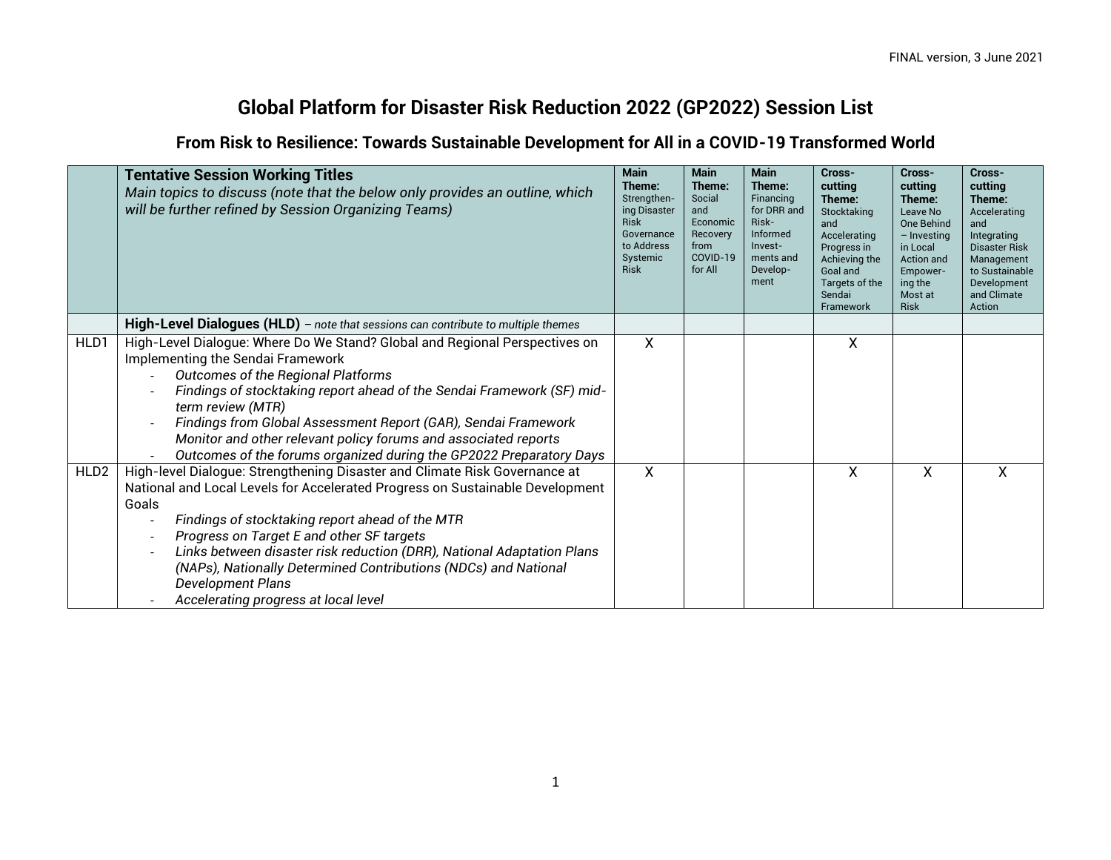## **Global Platform for Disaster Risk Reduction 2022 (GP2022) Session List**

**From Risk to Resilience: Towards Sustainable Development for All in a COVID-19 Transformed World**

|                  | <b>Tentative Session Working Titles</b><br>Main topics to discuss (note that the below only provides an outline, which<br>will be further refined by Session Organizing Teams)                                                                                                                                                                                                                                                                                                                                                         | <b>Main</b><br>Theme:<br>Strengthen-<br>ing Disaster<br><b>Risk</b><br>Governance<br>to Address<br>Systemic<br><b>Risk</b> | <b>Main</b><br>Theme:<br>Social<br>and<br>Economic<br>Recovery<br>from<br>COVID-19<br>for All | <b>Main</b><br>Theme:<br>Financing<br>for DRR and<br>Risk-<br>Informed<br>Invest-<br>ments and<br>Develop-<br>ment | Cross-<br>cutting<br>Theme:<br>Stocktaking<br>and<br>Accelerating<br>Progress in<br>Achieving the<br>Goal and<br>Targets of the<br>Sendai<br>Framework | Cross-<br>cutting<br>Theme:<br>Leave No<br><b>One Behind</b><br>$-$ Investing<br>in Local<br><b>Action and</b><br>Empower-<br>ing the<br>Most at<br><b>Risk</b> | Cross-<br>cutting<br>Theme:<br>Accelerating<br>and<br>Integrating<br><b>Disaster Risk</b><br>Management<br>to Sustainable<br>Development<br>and Climate<br>Action |
|------------------|----------------------------------------------------------------------------------------------------------------------------------------------------------------------------------------------------------------------------------------------------------------------------------------------------------------------------------------------------------------------------------------------------------------------------------------------------------------------------------------------------------------------------------------|----------------------------------------------------------------------------------------------------------------------------|-----------------------------------------------------------------------------------------------|--------------------------------------------------------------------------------------------------------------------|--------------------------------------------------------------------------------------------------------------------------------------------------------|-----------------------------------------------------------------------------------------------------------------------------------------------------------------|-------------------------------------------------------------------------------------------------------------------------------------------------------------------|
|                  | High-Level Dialogues (HLD) - note that sessions can contribute to multiple themes                                                                                                                                                                                                                                                                                                                                                                                                                                                      |                                                                                                                            |                                                                                               |                                                                                                                    |                                                                                                                                                        |                                                                                                                                                                 |                                                                                                                                                                   |
| HLD1             | High-Level Dialogue: Where Do We Stand? Global and Regional Perspectives on<br>Implementing the Sendai Framework<br>Outcomes of the Regional Platforms<br>$\overline{a}$<br>Findings of stocktaking report ahead of the Sendai Framework (SF) mid-<br>term review (MTR)<br>Findings from Global Assessment Report (GAR), Sendai Framework<br>Monitor and other relevant policy forums and associated reports<br>Outcomes of the forums organized during the GP2022 Preparatory Days                                                    | $\boldsymbol{\mathsf{X}}$                                                                                                  |                                                                                               |                                                                                                                    | X                                                                                                                                                      |                                                                                                                                                                 |                                                                                                                                                                   |
| HLD <sub>2</sub> | High-level Dialogue: Strengthening Disaster and Climate Risk Governance at<br>National and Local Levels for Accelerated Progress on Sustainable Development<br>Goals<br>Findings of stocktaking report ahead of the MTR<br>$\overline{\phantom{a}}$<br>Progress on Target E and other SF targets<br>Links between disaster risk reduction (DRR), National Adaptation Plans<br>$\overline{\phantom{a}}$<br>(NAPs), Nationally Determined Contributions (NDCs) and National<br>Development Plans<br>Accelerating progress at local level | X                                                                                                                          |                                                                                               |                                                                                                                    | Χ                                                                                                                                                      | χ                                                                                                                                                               | X                                                                                                                                                                 |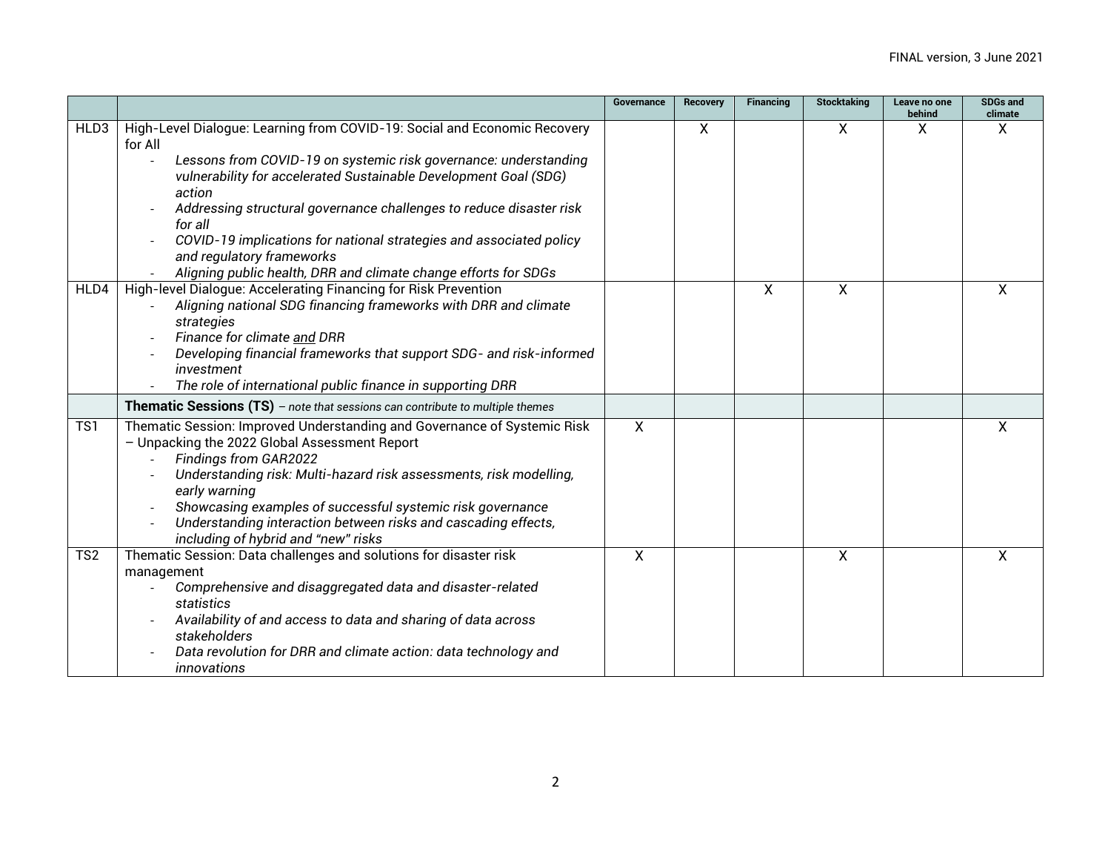|                  |                                                                                                                                                                                                                                                                                                                                                                                                                                                                                                 | Governance   | <b>Recovery</b> | <b>Financing</b>          | <b>Stocktaking</b> | Leave no one<br>behind | <b>SDGs and</b><br>climate |
|------------------|-------------------------------------------------------------------------------------------------------------------------------------------------------------------------------------------------------------------------------------------------------------------------------------------------------------------------------------------------------------------------------------------------------------------------------------------------------------------------------------------------|--------------|-----------------|---------------------------|--------------------|------------------------|----------------------------|
| HLD3             | High-Level Dialogue: Learning from COVID-19: Social and Economic Recovery<br>for All<br>Lessons from COVID-19 on systemic risk governance: understanding<br>vulnerability for accelerated Sustainable Development Goal (SDG)<br>action<br>Addressing structural governance challenges to reduce disaster risk<br>for all<br>COVID-19 implications for national strategies and associated policy<br>and regulatory frameworks<br>Aligning public health, DRR and climate change efforts for SDGs |              | X               |                           | X                  | X                      | X                          |
| HLD4             | High-level Dialogue: Accelerating Financing for Risk Prevention<br>Aligning national SDG financing frameworks with DRR and climate<br>strategies<br>Finance for climate and DRR<br>Developing financial frameworks that support SDG- and risk-informed<br>investment<br>The role of international public finance in supporting DRR                                                                                                                                                              |              |                 | $\boldsymbol{\mathsf{X}}$ | $\mathsf{X}$       |                        | X                          |
|                  | <b>Thematic Sessions (TS)</b> - note that sessions can contribute to multiple themes                                                                                                                                                                                                                                                                                                                                                                                                            |              |                 |                           |                    |                        |                            |
| $\overline{TS1}$ | Thematic Session: Improved Understanding and Governance of Systemic Risk<br>- Unpacking the 2022 Global Assessment Report<br>Findings from GAR2022<br>Understanding risk: Multi-hazard risk assessments, risk modelling,<br>early warning<br>Showcasing examples of successful systemic risk governance<br>Understanding interaction between risks and cascading effects,<br>including of hybrid and "new" risks                                                                                | $\mathsf{X}$ |                 |                           |                    |                        | X                          |
| TS <sub>2</sub>  | Thematic Session: Data challenges and solutions for disaster risk<br>management<br>Comprehensive and disaggregated data and disaster-related<br>statistics<br>Availability of and access to data and sharing of data across<br>stakeholders<br>Data revolution for DRR and climate action: data technology and<br>innovations                                                                                                                                                                   | $\mathsf{X}$ |                 |                           | $\mathsf{X}$       |                        | X                          |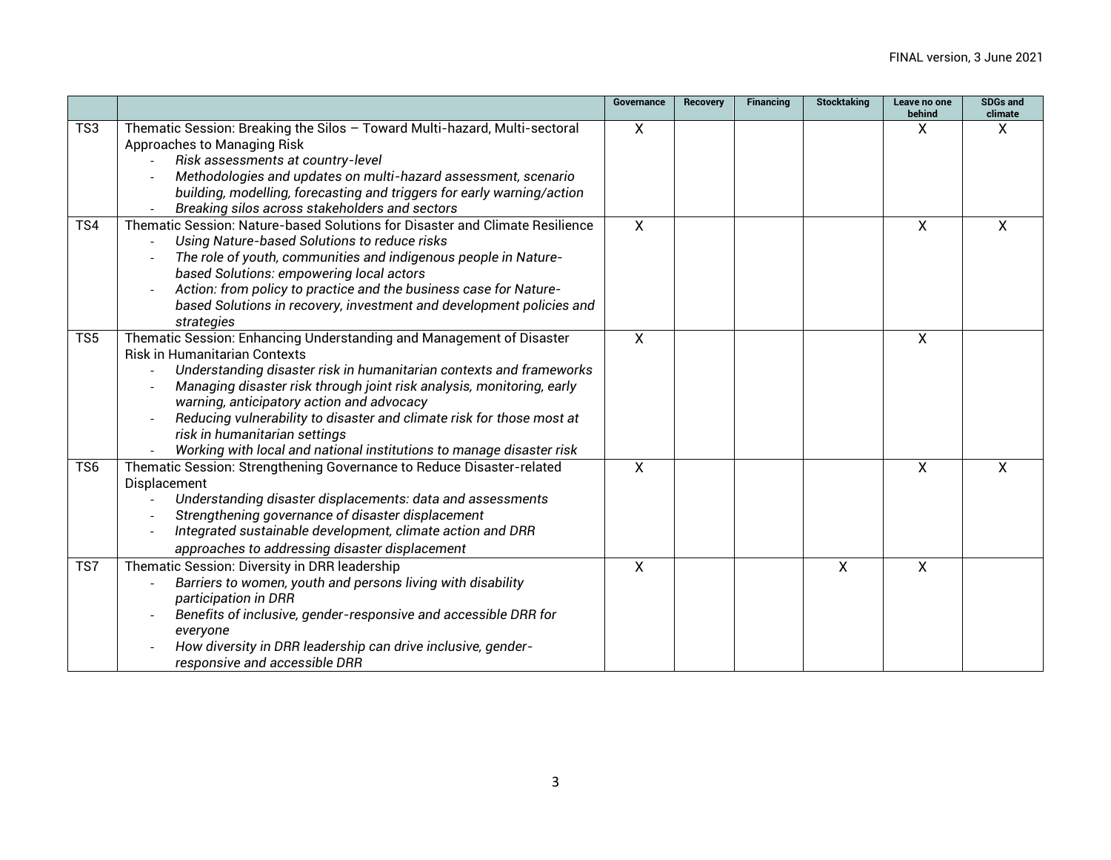|                         |                                                                              | Governance     | <b>Recovery</b> | Financing | <b>Stocktaking</b> | Leave no one<br>behind | <b>SDGs and</b><br>climate |
|-------------------------|------------------------------------------------------------------------------|----------------|-----------------|-----------|--------------------|------------------------|----------------------------|
| TS3                     | Thematic Session: Breaking the Silos - Toward Multi-hazard, Multi-sectoral   | X              |                 |           |                    | X                      | X                          |
|                         | Approaches to Managing Risk                                                  |                |                 |           |                    |                        |                            |
|                         | Risk assessments at country-level                                            |                |                 |           |                    |                        |                            |
|                         | Methodologies and updates on multi-hazard assessment, scenario               |                |                 |           |                    |                        |                            |
|                         | building, modelling, forecasting and triggers for early warning/action       |                |                 |           |                    |                        |                            |
|                         | Breaking silos across stakeholders and sectors                               |                |                 |           |                    |                        |                            |
| TS4                     | Thematic Session: Nature-based Solutions for Disaster and Climate Resilience | $\mathsf{X}$   |                 |           |                    | $\mathsf{X}$           | X                          |
|                         | Using Nature-based Solutions to reduce risks                                 |                |                 |           |                    |                        |                            |
|                         | The role of youth, communities and indigenous people in Nature-              |                |                 |           |                    |                        |                            |
|                         | based Solutions: empowering local actors                                     |                |                 |           |                    |                        |                            |
|                         | Action: from policy to practice and the business case for Nature-            |                |                 |           |                    |                        |                            |
|                         | based Solutions in recovery, investment and development policies and         |                |                 |           |                    |                        |                            |
|                         | strategies                                                                   |                |                 |           |                    |                        |                            |
| $\overline{\text{TS5}}$ | Thematic Session: Enhancing Understanding and Management of Disaster         | $\overline{X}$ |                 |           |                    | $\overline{X}$         |                            |
|                         | <b>Risk in Humanitarian Contexts</b>                                         |                |                 |           |                    |                        |                            |
|                         | Understanding disaster risk in humanitarian contexts and frameworks          |                |                 |           |                    |                        |                            |
|                         | Managing disaster risk through joint risk analysis, monitoring, early        |                |                 |           |                    |                        |                            |
|                         | warning, anticipatory action and advocacy                                    |                |                 |           |                    |                        |                            |
|                         | Reducing vulnerability to disaster and climate risk for those most at        |                |                 |           |                    |                        |                            |
|                         | risk in humanitarian settings                                                |                |                 |           |                    |                        |                            |
|                         | Working with local and national institutions to manage disaster risk         |                |                 |           |                    |                        |                            |
| TS <sub>6</sub>         | Thematic Session: Strengthening Governance to Reduce Disaster-related        | X              |                 |           |                    | $\mathsf{X}$           | X                          |
|                         | Displacement                                                                 |                |                 |           |                    |                        |                            |
|                         | Understanding disaster displacements: data and assessments                   |                |                 |           |                    |                        |                            |
|                         | Strengthening governance of disaster displacement                            |                |                 |           |                    |                        |                            |
|                         | Integrated sustainable development, climate action and DRR                   |                |                 |           |                    |                        |                            |
|                         | approaches to addressing disaster displacement                               |                |                 |           |                    |                        |                            |
| TS7                     | Thematic Session: Diversity in DRR leadership                                | $\mathsf{X}$   |                 |           | $\mathsf{X}$       | $\mathsf{X}$           |                            |
|                         | Barriers to women, youth and persons living with disability                  |                |                 |           |                    |                        |                            |
|                         | participation in DRR                                                         |                |                 |           |                    |                        |                            |
|                         | Benefits of inclusive, gender-responsive and accessible DRR for              |                |                 |           |                    |                        |                            |
|                         | everyone                                                                     |                |                 |           |                    |                        |                            |
|                         | How diversity in DRR leadership can drive inclusive, gender-                 |                |                 |           |                    |                        |                            |
|                         | responsive and accessible DRR                                                |                |                 |           |                    |                        |                            |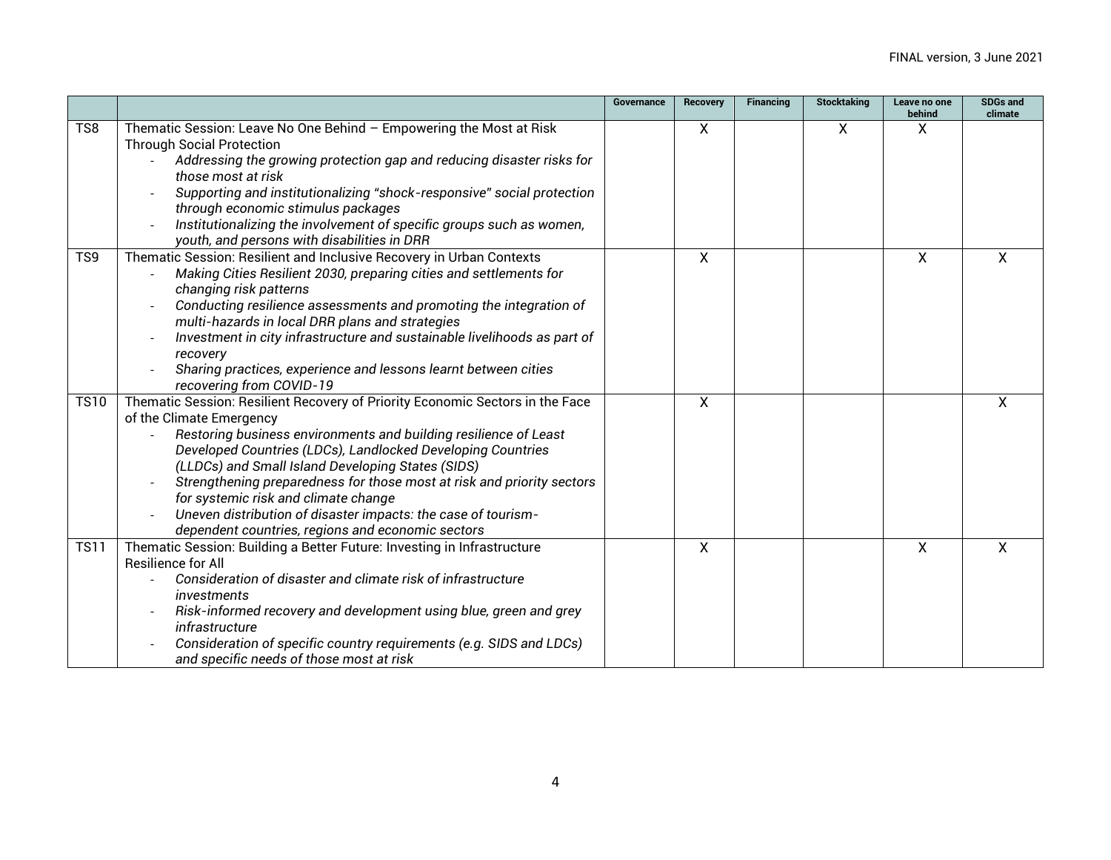|                 |                                                                                                           | Governance | <b>Recovery</b>  | <b>Financing</b> | <b>Stocktaking</b> | Leave no one<br>behind | <b>SDGs and</b><br>climate |
|-----------------|-----------------------------------------------------------------------------------------------------------|------------|------------------|------------------|--------------------|------------------------|----------------------------|
| TS8             | Thematic Session: Leave No One Behind - Empowering the Most at Risk                                       |            | $\boldsymbol{X}$ |                  | X                  | X                      |                            |
|                 | <b>Through Social Protection</b>                                                                          |            |                  |                  |                    |                        |                            |
|                 | Addressing the growing protection gap and reducing disaster risks for                                     |            |                  |                  |                    |                        |                            |
|                 | those most at risk                                                                                        |            |                  |                  |                    |                        |                            |
|                 | Supporting and institutionalizing "shock-responsive" social protection                                    |            |                  |                  |                    |                        |                            |
|                 | through economic stimulus packages                                                                        |            |                  |                  |                    |                        |                            |
|                 | Institutionalizing the involvement of specific groups such as women,                                      |            |                  |                  |                    |                        |                            |
|                 | youth, and persons with disabilities in DRR                                                               |            |                  |                  |                    |                        |                            |
| TS <sub>9</sub> | Thematic Session: Resilient and Inclusive Recovery in Urban Contexts                                      |            | X                |                  |                    | X                      | X                          |
|                 | Making Cities Resilient 2030, preparing cities and settlements for                                        |            |                  |                  |                    |                        |                            |
|                 | changing risk patterns                                                                                    |            |                  |                  |                    |                        |                            |
|                 | Conducting resilience assessments and promoting the integration of                                        |            |                  |                  |                    |                        |                            |
|                 | multi-hazards in local DRR plans and strategies                                                           |            |                  |                  |                    |                        |                            |
|                 | Investment in city infrastructure and sustainable livelihoods as part of                                  |            |                  |                  |                    |                        |                            |
|                 | recovery                                                                                                  |            |                  |                  |                    |                        |                            |
|                 | Sharing practices, experience and lessons learnt between cities                                           |            |                  |                  |                    |                        |                            |
| <b>TS10</b>     | recovering from COVID-19<br>Thematic Session: Resilient Recovery of Priority Economic Sectors in the Face |            | X                |                  |                    |                        | χ                          |
|                 | of the Climate Emergency                                                                                  |            |                  |                  |                    |                        |                            |
|                 | Restoring business environments and building resilience of Least                                          |            |                  |                  |                    |                        |                            |
|                 | Developed Countries (LDCs), Landlocked Developing Countries                                               |            |                  |                  |                    |                        |                            |
|                 | (LLDCs) and Small Island Developing States (SIDS)                                                         |            |                  |                  |                    |                        |                            |
|                 | Strengthening preparedness for those most at risk and priority sectors                                    |            |                  |                  |                    |                        |                            |
|                 | for systemic risk and climate change                                                                      |            |                  |                  |                    |                        |                            |
|                 | Uneven distribution of disaster impacts: the case of tourism-                                             |            |                  |                  |                    |                        |                            |
|                 | dependent countries, regions and economic sectors                                                         |            |                  |                  |                    |                        |                            |
| <b>TS11</b>     | Thematic Session: Building a Better Future: Investing in Infrastructure                                   |            | X                |                  |                    | X                      | χ                          |
|                 | <b>Resilience for All</b>                                                                                 |            |                  |                  |                    |                        |                            |
|                 | Consideration of disaster and climate risk of infrastructure                                              |            |                  |                  |                    |                        |                            |
|                 | <i>investments</i>                                                                                        |            |                  |                  |                    |                        |                            |
|                 | Risk-informed recovery and development using blue, green and grey                                         |            |                  |                  |                    |                        |                            |
|                 | infrastructure                                                                                            |            |                  |                  |                    |                        |                            |
|                 | Consideration of specific country requirements (e.g. SIDS and LDCs)                                       |            |                  |                  |                    |                        |                            |
|                 | and specific needs of those most at risk                                                                  |            |                  |                  |                    |                        |                            |